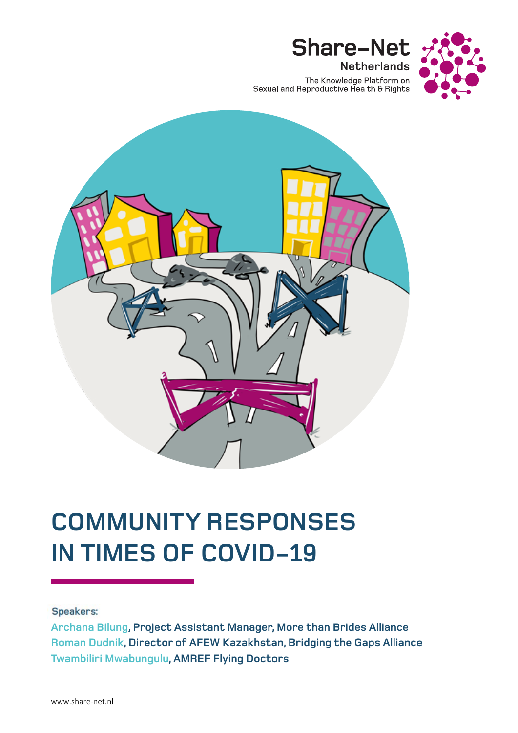

The Knowledge Platform on<br>Sexual and Reproductive Health & Rights

**Share-Net** 

**Netherlands** 



# **COMMUNITY RESPONSES IN TIMES OF COVID-19**

## Speakers:

**Archana Bilung, Project Assistant Manager, More than Brides Alliance Roman Dudnik, Director of AFEW Kazakhstan, Bridging the Gaps Alliance Twambiliri Mwabungulu, AMREF Flying Doctors**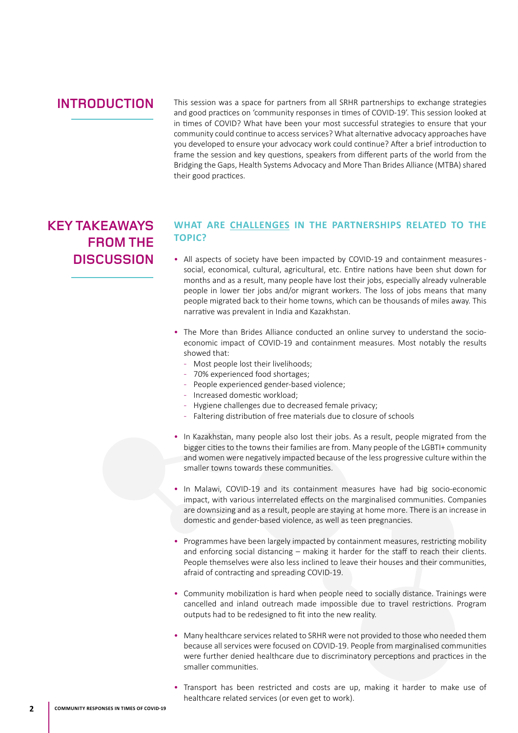## **INTRODUCTION**

This session was a space for partners from all SRHR partnerships to exchange strategies and good practices on 'community responses in times of COVID-19'. This session looked at in times of COVID? What have been your most successful strategies to ensure that your community could continue to access services? What alternative advocacy approaches have you developed to ensure your advocacy work could continue? After a brief introduction to frame the session and key questions, speakers from different parts of the world from the Bridging the Gaps, Health Systems Advocacy and More Than Brides Alliance (MTBA) shared their good practices.

## **KEY TAKEAWAYS FROM THE DISCUSSION**

### **WHAT ARE CHALLENGES IN THE PARTNERSHIPS RELATED TO THE TOPIC?**

- All aspects of society have been impacted by COVID-19 and containment measures social, economical, cultural, agricultural, etc. Entire nations have been shut down for months and as a result, many people have lost their jobs, especially already vulnerable people in lower tier jobs and/or migrant workers. The loss of jobs means that many people migrated back to their home towns, which can be thousands of miles away. This narrative was prevalent in India and Kazakhstan.
- The More than Brides Alliance conducted an online survey to understand the socioeconomic impact of COVID-19 and containment measures. Most notably the results showed that:
	- Most people lost their livelihoods;
	- 70% experienced food shortages;
	- People experienced gender-based violence;
	- Increased domestic workload;
	- Hygiene challenges due to decreased female privacy;
	- Faltering distribution of free materials due to closure of schools
- In Kazakhstan, many people also lost their jobs. As a result, people migrated from the bigger cities to the towns their families are from. Many people of the LGBTI+ community and women were negatively impacted because of the less progressive culture within the smaller towns towards these communities.
- In Malawi, COVID-19 and its containment measures have had big socio-economic impact, with various interrelated effects on the marginalised communities. Companies are downsizing and as a result, people are staying at home more. There is an increase in domestic and gender-based violence, as well as teen pregnancies.
- Programmes have been largely impacted by containment measures, restricting mobility and enforcing social distancing – making it harder for the staff to reach their clients. People themselves were also less inclined to leave their houses and their communities, afraid of contracting and spreading COVID-19.
- Community mobilization is hard when people need to socially distance. Trainings were cancelled and inland outreach made impossible due to travel restrictions. Program outputs had to be redesigned to fit into the new reality.
- Many healthcare services related to SRHR were not provided to those who needed them because all services were focused on COVID-19. People from marginalised communities were further denied healthcare due to discriminatory perceptions and practices in the smaller communities.
- Transport has been restricted and costs are up, making it harder to make use of healthcare related services (or even get to work).